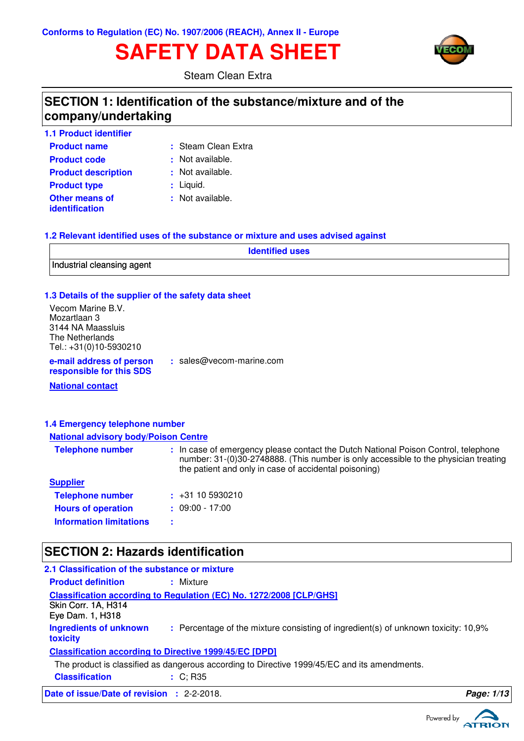# **SAFETY DATA SHEET**



Steam Clean Extra

### **SECTION 1: Identification of the substance/mixture and of the company/undertaking**

| <b>1.1 Product identifier</b>                  |                     |
|------------------------------------------------|---------------------|
| <b>Product name</b>                            | : Steam Clean Extra |
| <b>Product code</b>                            | : Not available.    |
| <b>Product description</b>                     | : Not available.    |
| <b>Product type</b>                            | $:$ Liquid.         |
| <b>Other means of</b><br><i>identification</i> | : Not available.    |

#### **1.2 Relevant identified uses of the substance or mixture and uses advised against**

| <b>Identified uses</b>     |  |
|----------------------------|--|
| Industrial cleansing agent |  |

#### **1.3 Details of the supplier of the safety data sheet**

Vecom Marine B.V. Mozartlaan 3 3144 NA Maassluis The Netherlands Tel.: +31(0)10-5930210

**e-mail address of person responsible for this SDS :** sales@vecom-marine.com

**National contact**

#### **1.4 Emergency telephone number**

#### **National advisory body/Poison Centre**

| <b>Telephone number</b>        | : In case of emergency please contact the Dutch National Poison Control, telephone<br>number: 31-(0)30-2748888. (This number is only accessible to the physician treating<br>the patient and only in case of accidental poisoning) |
|--------------------------------|------------------------------------------------------------------------------------------------------------------------------------------------------------------------------------------------------------------------------------|
| <b>Supplier</b>                |                                                                                                                                                                                                                                    |
| <b>Telephone number</b>        | $\div$ +31 10 5930210                                                                                                                                                                                                              |
| <b>Hours of operation</b>      | $: 09:00 - 17:00$                                                                                                                                                                                                                  |
| <b>Information limitations</b> |                                                                                                                                                                                                                                    |

### **SECTION 2: Hazards identification**

| <b>Date of issue/Date of revision : 2-2-2018.</b> |                                                                                              | Page: 1/13 |
|---------------------------------------------------|----------------------------------------------------------------------------------------------|------------|
| <b>Classification</b>                             | $\div$ C; R35                                                                                |            |
|                                                   | The product is classified as dangerous according to Directive 1999/45/EC and its amendments. |            |
|                                                   | <b>Classification according to Directive 1999/45/EC [DPD]</b>                                |            |
| Ingredients of unknown<br>toxicity                | : Percentage of the mixture consisting of ingredient(s) of unknown toxicity: 10,9%           |            |
| Skin Corr. 1A, H314<br>Eye Dam. 1, H318           | <b>Classification according to Regulation (EC) No. 1272/2008 [CLP/GHS]</b>                   |            |
| <b>Product definition</b>                         | : Mixture                                                                                    |            |
| 2.1 Classification of the substance or mixture    |                                                                                              |            |

Powered by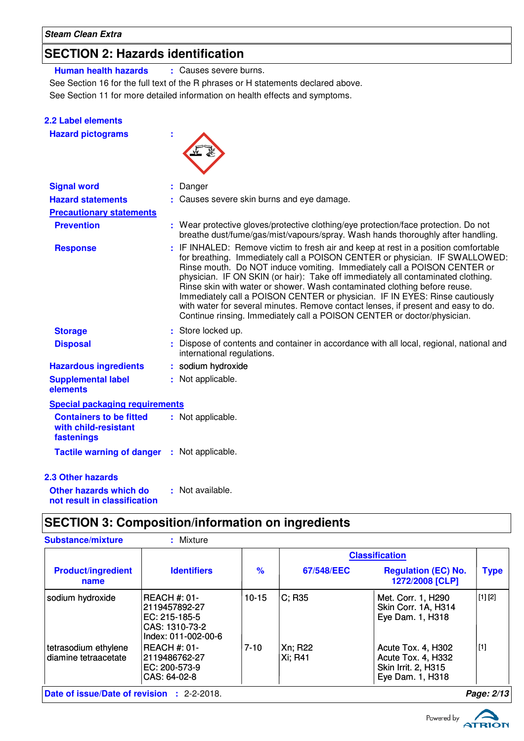### **SECTION 2: Hazards identification**

**Human health hazards :** Causes severe burns.

See Section 16 for the full text of the R phrases or H statements declared above.

See Section 11 for more detailed information on health effects and symptoms.

| 2.2 Label elements                                                   |                                                                                                                                                                                                                                                                                                                                                                                                                                                                                                                                                                                                                                                                |
|----------------------------------------------------------------------|----------------------------------------------------------------------------------------------------------------------------------------------------------------------------------------------------------------------------------------------------------------------------------------------------------------------------------------------------------------------------------------------------------------------------------------------------------------------------------------------------------------------------------------------------------------------------------------------------------------------------------------------------------------|
| <b>Hazard pictograms</b>                                             |                                                                                                                                                                                                                                                                                                                                                                                                                                                                                                                                                                                                                                                                |
| <b>Signal word</b>                                                   | Danger                                                                                                                                                                                                                                                                                                                                                                                                                                                                                                                                                                                                                                                         |
| <b>Hazard statements</b>                                             | Causes severe skin burns and eye damage.                                                                                                                                                                                                                                                                                                                                                                                                                                                                                                                                                                                                                       |
| <b>Precautionary statements</b>                                      |                                                                                                                                                                                                                                                                                                                                                                                                                                                                                                                                                                                                                                                                |
| <b>Prevention</b>                                                    | : Wear protective gloves/protective clothing/eye protection/face protection. Do not<br>breathe dust/fume/gas/mist/vapours/spray. Wash hands thoroughly after handling.                                                                                                                                                                                                                                                                                                                                                                                                                                                                                         |
| <b>Response</b>                                                      | : IF INHALED: Remove victim to fresh air and keep at rest in a position comfortable<br>for breathing. Immediately call a POISON CENTER or physician. IF SWALLOWED:<br>Rinse mouth. Do NOT induce vomiting. Immediately call a POISON CENTER or<br>physician. IF ON SKIN (or hair): Take off immediately all contaminated clothing.<br>Rinse skin with water or shower. Wash contaminated clothing before reuse.<br>Immediately call a POISON CENTER or physician. IF IN EYES: Rinse cautiously<br>with water for several minutes. Remove contact lenses, if present and easy to do.<br>Continue rinsing. Immediately call a POISON CENTER or doctor/physician. |
| <b>Storage</b>                                                       | : Store locked up.                                                                                                                                                                                                                                                                                                                                                                                                                                                                                                                                                                                                                                             |
| <b>Disposal</b>                                                      | : Dispose of contents and container in accordance with all local, regional, national and<br>international regulations.                                                                                                                                                                                                                                                                                                                                                                                                                                                                                                                                         |
| <b>Hazardous ingredients</b>                                         | : sodium hydroxide                                                                                                                                                                                                                                                                                                                                                                                                                                                                                                                                                                                                                                             |
| <b>Supplemental label</b><br>elements                                | : Not applicable.                                                                                                                                                                                                                                                                                                                                                                                                                                                                                                                                                                                                                                              |
| <b>Special packaging requirements</b>                                |                                                                                                                                                                                                                                                                                                                                                                                                                                                                                                                                                                                                                                                                |
| <b>Containers to be fitted</b><br>with child-resistant<br>fastenings | : Not applicable.                                                                                                                                                                                                                                                                                                                                                                                                                                                                                                                                                                                                                                              |
| <b>Tactile warning of danger : Not applicable.</b>                   |                                                                                                                                                                                                                                                                                                                                                                                                                                                                                                                                                                                                                                                                |
| <b>2.3 Other hazards</b>                                             |                                                                                                                                                                                                                                                                                                                                                                                                                                                                                                                                                                                                                                                                |
| Other hazards which do<br>not result in classification               | : Not available.                                                                                                                                                                                                                                                                                                                                                                                                                                                                                                                                                                                                                                               |

# **SECTION 3: Composition/information on ingredients**

| <b>Substance/mixture</b>                          | : Mixture                                                                                  |           |                    |                                                                                     |             |
|---------------------------------------------------|--------------------------------------------------------------------------------------------|-----------|--------------------|-------------------------------------------------------------------------------------|-------------|
|                                                   |                                                                                            |           |                    | <b>Classification</b>                                                               |             |
| <b>Product/ingredient</b><br>name                 | <b>Identifiers</b>                                                                         | $\%$      | 67/548/EEC         | <b>Regulation (EC) No.</b><br>1272/2008 [CLP]                                       | <b>Type</b> |
| sodium hydroxide                                  | IREACH #: 01-<br> 2119457892-27<br>IEC: 215-185-5<br>CAS: 1310-73-2<br>Index: 011-002-00-6 | $10 - 15$ | $C$ ; R35          | Met. Corr. 1, H290<br>Skin Corr. 1A, H314<br>Eye Dam. 1, H318                       | [1] [2]     |
| tetrasodium ethylene<br>diamine tetraacetate      | IREACH #: 01-<br>2119486762-27<br>EC: 200-573-9<br>CAS: 64-02-8                            | $7-10$    | Xn; R22<br>Xi; R41 | Acute Tox. 4, H302<br>Acute Tox. 4, H332<br>Skin Irrit. 2, H315<br>Eye Dam. 1, H318 | [1]         |
| <b>Date of issue/Date of revision : 2-2-2018.</b> |                                                                                            |           |                    |                                                                                     | Page: 2/13  |

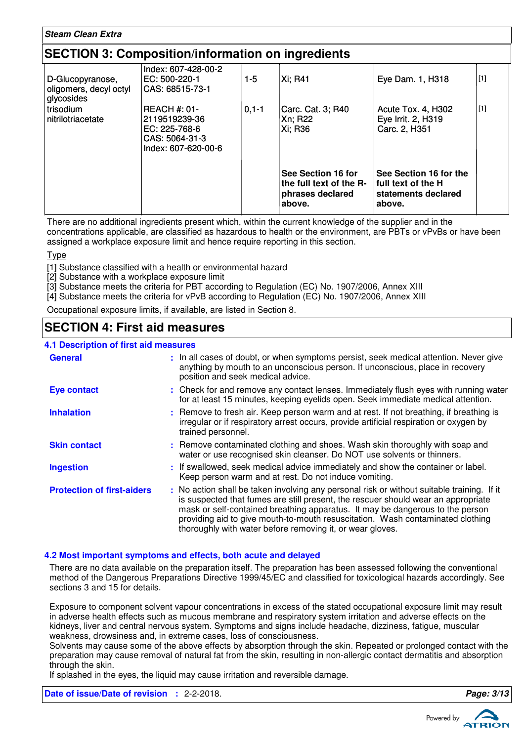#### **Steam Clean Extra**

### **SECTION 3: Composition/information on ingredients**

| D-Glucopyranose,<br>oligomers, decyl octyl<br>glycosides | Index: 607-428-00-2<br>EC: 500-220-1<br>ICAS: 68515-73-1                                       | $1 - 5$    | Xi: R41                                                                     | Eye Dam. 1, H318                                                              | [1] |
|----------------------------------------------------------|------------------------------------------------------------------------------------------------|------------|-----------------------------------------------------------------------------|-------------------------------------------------------------------------------|-----|
| l trisodium<br>l nitrilotriacetate                       | <b>REACH #: 01-</b><br>2119519239-36<br>EC: 225-768-6<br>CAS: 5064-31-3<br>Index: 607-620-00-6 | $0, 1 - 1$ | Carc. Cat. 3; R40<br>Xn; R22<br>Xi: R36                                     | Acute Tox. 4, H302<br>Eye Irrit. 2, H319<br>Carc. 2, H351                     | [1] |
|                                                          |                                                                                                |            | See Section 16 for<br>the full text of the R-<br>phrases declared<br>above. | See Section 16 for the<br>full text of the H<br>statements declared<br>above. |     |

There are no additional ingredients present which, within the current knowledge of the supplier and in the concentrations applicable, are classified as hazardous to health or the environment, are PBTs or vPvBs or have been assigned a workplace exposure limit and hence require reporting in this section.

Type

- [1] Substance classified with a health or environmental hazard
- [2] Substance with a workplace exposure limit
- [3] Substance meets the criteria for PBT according to Regulation (EC) No. 1907/2006, Annex XIII
- [4] Substance meets the criteria for vPvB according to Regulation (EC) No. 1907/2006, Annex XIII

Occupational exposure limits, if available, are listed in Section 8.

### **SECTION 4: First aid measures**

#### **4.1 Description of first aid measures**

| <b>General</b>                    | : In all cases of doubt, or when symptoms persist, seek medical attention. Never give<br>anything by mouth to an unconscious person. If unconscious, place in recovery<br>position and seek medical advice.                                                                                                                                                                                                     |
|-----------------------------------|-----------------------------------------------------------------------------------------------------------------------------------------------------------------------------------------------------------------------------------------------------------------------------------------------------------------------------------------------------------------------------------------------------------------|
| <b>Eye contact</b>                | : Check for and remove any contact lenses. Immediately flush eyes with running water<br>for at least 15 minutes, keeping eyelids open. Seek immediate medical attention.                                                                                                                                                                                                                                        |
| <b>Inhalation</b>                 | : Remove to fresh air. Keep person warm and at rest. If not breathing, if breathing is<br>irregular or if respiratory arrest occurs, provide artificial respiration or oxygen by<br>trained personnel.                                                                                                                                                                                                          |
| <b>Skin contact</b>               | : Remove contaminated clothing and shoes. Wash skin thoroughly with soap and<br>water or use recognised skin cleanser. Do NOT use solvents or thinners.                                                                                                                                                                                                                                                         |
| <b>Ingestion</b>                  | : If swallowed, seek medical advice immediately and show the container or label.<br>Keep person warm and at rest. Do not induce vomiting.                                                                                                                                                                                                                                                                       |
| <b>Protection of first-aiders</b> | : No action shall be taken involving any personal risk or without suitable training. If it<br>is suspected that fumes are still present, the rescuer should wear an appropriate<br>mask or self-contained breathing apparatus. It may be dangerous to the person<br>providing aid to give mouth-to-mouth resuscitation. Wash contaminated clothing<br>thoroughly with water before removing it, or wear gloves. |

#### **4.2 Most important symptoms and effects, both acute and delayed**

There are no data available on the preparation itself. The preparation has been assessed following the conventional method of the Dangerous Preparations Directive 1999/45/EC and classified for toxicological hazards accordingly. See sections 3 and 15 for details.

Exposure to component solvent vapour concentrations in excess of the stated occupational exposure limit may result in adverse health effects such as mucous membrane and respiratory system irritation and adverse effects on the kidneys, liver and central nervous system. Symptoms and signs include headache, dizziness, fatigue, muscular weakness, drowsiness and, in extreme cases, loss of consciousness.

Solvents may cause some of the above effects by absorption through the skin. Repeated or prolonged contact with the preparation may cause removal of natural fat from the skin, resulting in non-allergic contact dermatitis and absorption through the skin.

If splashed in the eyes, the liquid may cause irritation and reversible damage.

**Date of issue/Date of revision :** 2-2-2018. **Page: 3/13**

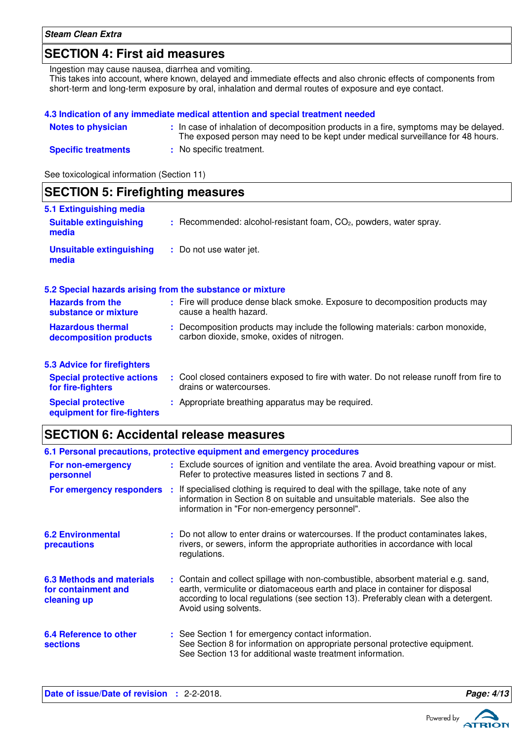### **SECTION 4: First aid measures**

Ingestion may cause nausea, diarrhea and vomiting. This takes into account, where known, delayed and immediate effects and also chronic effects of components from short-term and long-term exposure by oral, inhalation and dermal routes of exposure and eye contact.

|                            | 4.3 Indication of any immediate medical attention and special treatment needed                                                                                           |
|----------------------------|--------------------------------------------------------------------------------------------------------------------------------------------------------------------------|
| <b>Notes to physician</b>  | : In case of inhalation of decomposition products in a fire, symptoms may be delayed.<br>The exposed person may need to be kept under medical surveillance for 48 hours. |
| <b>Specific treatments</b> | : No specific treatment.                                                                                                                                                 |

See toxicological information (Section 11)

### **SECTION 5: Firefighting measures**

| 5.1 Extinguishing media<br><b>Suitable extinguishing</b><br>media | $:$ Recommended: alcohol-resistant foam, $CO2$ , powders, water spray.                                                       |
|-------------------------------------------------------------------|------------------------------------------------------------------------------------------------------------------------------|
| <b>Unsuitable extinguishing</b><br>media                          | : Do not use water jet.                                                                                                      |
| 5.2 Special hazards arising from the substance or mixture         |                                                                                                                              |
| <b>Hazards from the</b><br>substance or mixture                   | : Fire will produce dense black smoke. Exposure to decomposition products may<br>cause a health hazard.                      |
| <b>Hazardous thermal</b><br>decomposition products                | : Decomposition products may include the following materials: carbon monoxide,<br>carbon dioxide, smoke, oxides of nitrogen. |
| <b>5.3 Advice for firefighters</b>                                |                                                                                                                              |
| <b>Special protective actions</b><br>for fire-fighters            | : Cool closed containers exposed to fire with water. Do not release runoff from fire to<br>drains or watercourses.           |
| <b>Special protective</b><br>equipment for fire-fighters          | : Appropriate breathing apparatus may be required.                                                                           |

### **SECTION 6: Accidental release measures**

|                                                                        | 6.1 Personal precautions, protective equipment and emergency procedures                                                                                                                                                                                                            |
|------------------------------------------------------------------------|------------------------------------------------------------------------------------------------------------------------------------------------------------------------------------------------------------------------------------------------------------------------------------|
| For non-emergency<br>personnel                                         | : Exclude sources of ignition and ventilate the area. Avoid breathing vapour or mist.<br>Refer to protective measures listed in sections 7 and 8.                                                                                                                                  |
| For emergency responders                                               | If specialised clothing is required to deal with the spillage, take note of any<br>information in Section 8 on suitable and unsuitable materials. See also the<br>information in "For non-emergency personnel".                                                                    |
| <b>6.2 Environmental</b><br><b>precautions</b>                         | : Do not allow to enter drains or watercourses. If the product contaminates lakes,<br>rivers, or sewers, inform the appropriate authorities in accordance with local<br>regulations.                                                                                               |
| <b>6.3 Methods and materials</b><br>for containment and<br>cleaning up | : Contain and collect spillage with non-combustible, absorbent material e.g. sand,<br>earth, vermiculite or diatomaceous earth and place in container for disposal<br>according to local regulations (see section 13). Preferably clean with a detergent.<br>Avoid using solvents. |
| <b>6.4 Reference to other</b><br><b>sections</b>                       | : See Section 1 for emergency contact information.<br>See Section 8 for information on appropriate personal protective equipment.<br>See Section 13 for additional waste treatment information.                                                                                    |

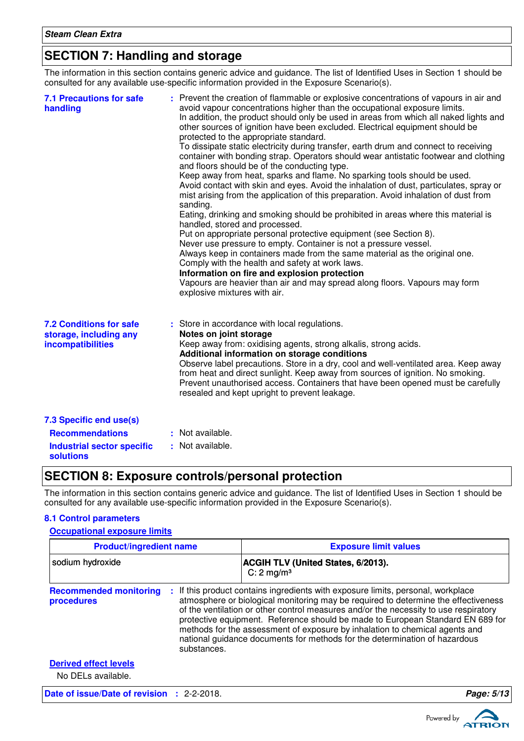### **SECTION 7: Handling and storage**

The information in this section contains generic advice and guidance. The list of Identified Uses in Section 1 should be consulted for any available use-specific information provided in the Exposure Scenario(s).

| <b>7.1 Precautions for safe</b><br>handling                                   | : Prevent the creation of flammable or explosive concentrations of vapours in air and<br>avoid vapour concentrations higher than the occupational exposure limits.<br>In addition, the product should only be used in areas from which all naked lights and<br>other sources of ignition have been excluded. Electrical equipment should be<br>protected to the appropriate standard.<br>To dissipate static electricity during transfer, earth drum and connect to receiving<br>container with bonding strap. Operators should wear antistatic footwear and clothing<br>and floors should be of the conducting type.<br>Keep away from heat, sparks and flame. No sparking tools should be used.<br>Avoid contact with skin and eyes. Avoid the inhalation of dust, particulates, spray or<br>mist arising from the application of this preparation. Avoid inhalation of dust from<br>sanding.<br>Eating, drinking and smoking should be prohibited in areas where this material is<br>handled, stored and processed.<br>Put on appropriate personal protective equipment (see Section 8).<br>Never use pressure to empty. Container is not a pressure vessel.<br>Always keep in containers made from the same material as the original one.<br>Comply with the health and safety at work laws.<br>Information on fire and explosion protection<br>Vapours are heavier than air and may spread along floors. Vapours may form<br>explosive mixtures with air. |
|-------------------------------------------------------------------------------|----------------------------------------------------------------------------------------------------------------------------------------------------------------------------------------------------------------------------------------------------------------------------------------------------------------------------------------------------------------------------------------------------------------------------------------------------------------------------------------------------------------------------------------------------------------------------------------------------------------------------------------------------------------------------------------------------------------------------------------------------------------------------------------------------------------------------------------------------------------------------------------------------------------------------------------------------------------------------------------------------------------------------------------------------------------------------------------------------------------------------------------------------------------------------------------------------------------------------------------------------------------------------------------------------------------------------------------------------------------------------------------------------------------------------------------------------------------|
| <b>7.2 Conditions for safe</b><br>storage, including any<br>incompatibilities | : Store in accordance with local regulations.<br>Notes on joint storage<br>Keep away from: oxidising agents, strong alkalis, strong acids.<br>Additional information on storage conditions<br>Observe label precautions. Store in a dry, cool and well-ventilated area. Keep away<br>from heat and direct sunlight. Keep away from sources of ignition. No smoking.<br>Prevent unauthorised access. Containers that have been opened must be carefully<br>resealed and kept upright to prevent leakage.                                                                                                                                                                                                                                                                                                                                                                                                                                                                                                                                                                                                                                                                                                                                                                                                                                                                                                                                                        |
| 7.3 Specific end use(s)<br><b>Recommendations</b>                             | : Not available.                                                                                                                                                                                                                                                                                                                                                                                                                                                                                                                                                                                                                                                                                                                                                                                                                                                                                                                                                                                                                                                                                                                                                                                                                                                                                                                                                                                                                                               |
| <b>Industrial sector specific</b><br><b>solutions</b>                         | : Not available.                                                                                                                                                                                                                                                                                                                                                                                                                                                                                                                                                                                                                                                                                                                                                                                                                                                                                                                                                                                                                                                                                                                                                                                                                                                                                                                                                                                                                                               |

### **SECTION 8: Exposure controls/personal protection**

The information in this section contains generic advice and guidance. The list of Identified Uses in Section 1 should be consulted for any available use-specific information provided in the Exposure Scenario(s).

#### **8.1 Control parameters**

#### **Occupational exposure limits**

| <b>Product/ingredient name</b>                     |             | <b>Exposure limit values</b>                                                                                                                                                                                                                                                                                                                                                                                                                                                                                |  |  |
|----------------------------------------------------|-------------|-------------------------------------------------------------------------------------------------------------------------------------------------------------------------------------------------------------------------------------------------------------------------------------------------------------------------------------------------------------------------------------------------------------------------------------------------------------------------------------------------------------|--|--|
| sodium hydroxide                                   |             | <b>ACGIH TLV (United States, 6/2013).</b><br>$C: 2$ mg/m <sup>3</sup>                                                                                                                                                                                                                                                                                                                                                                                                                                       |  |  |
| <b>Recommended monitoring</b><br>procedures        | substances. | If this product contains ingredients with exposure limits, personal, workplace<br>atmosphere or biological monitoring may be required to determine the effectiveness<br>of the ventilation or other control measures and/or the necessity to use respiratory<br>protective equipment. Reference should be made to European Standard EN 689 for<br>methods for the assessment of exposure by inhalation to chemical agents and<br>national guidance documents for methods for the determination of hazardous |  |  |
| <b>Derived effect levels</b><br>No DELs available. |             |                                                                                                                                                                                                                                                                                                                                                                                                                                                                                                             |  |  |
| Date of issue/Date of revision : 2-2-2018.         |             | Page: 5/13                                                                                                                                                                                                                                                                                                                                                                                                                                                                                                  |  |  |

ATRION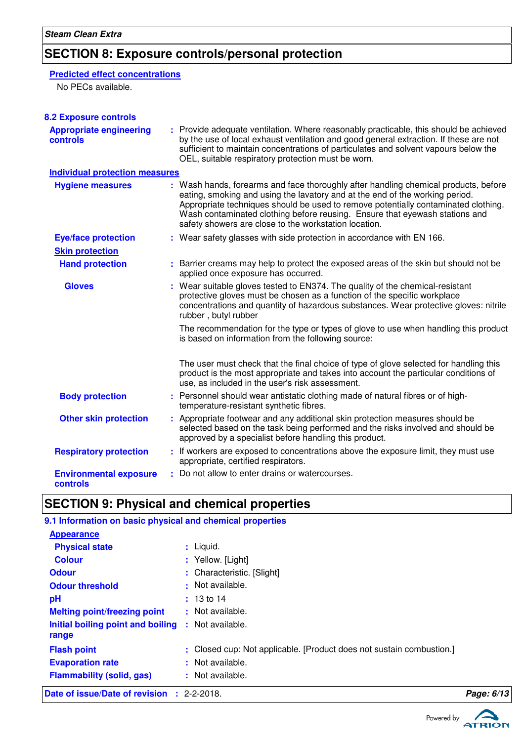# **SECTION 8: Exposure controls/personal protection**

### **Predicted effect concentrations**

No PECs available.

| <b>8.2 Exposure controls</b>                      |                                                                                                                                                                                                                                                                                                                                                                                                   |
|---------------------------------------------------|---------------------------------------------------------------------------------------------------------------------------------------------------------------------------------------------------------------------------------------------------------------------------------------------------------------------------------------------------------------------------------------------------|
| <b>Appropriate engineering</b><br><b>controls</b> | : Provide adequate ventilation. Where reasonably practicable, this should be achieved<br>by the use of local exhaust ventilation and good general extraction. If these are not<br>sufficient to maintain concentrations of particulates and solvent vapours below the<br>OEL, suitable respiratory protection must be worn.                                                                       |
| <b>Individual protection measures</b>             |                                                                                                                                                                                                                                                                                                                                                                                                   |
| <b>Hygiene measures</b>                           | : Wash hands, forearms and face thoroughly after handling chemical products, before<br>eating, smoking and using the lavatory and at the end of the working period.<br>Appropriate techniques should be used to remove potentially contaminated clothing.<br>Wash contaminated clothing before reusing. Ensure that eyewash stations and<br>safety showers are close to the workstation location. |
| <b>Eye/face protection</b>                        | : Wear safety glasses with side protection in accordance with EN 166.                                                                                                                                                                                                                                                                                                                             |
| <b>Skin protection</b>                            |                                                                                                                                                                                                                                                                                                                                                                                                   |
| <b>Hand protection</b>                            | : Barrier creams may help to protect the exposed areas of the skin but should not be<br>applied once exposure has occurred.                                                                                                                                                                                                                                                                       |
| <b>Gloves</b>                                     | : Wear suitable gloves tested to EN374. The quality of the chemical-resistant<br>protective gloves must be chosen as a function of the specific workplace<br>concentrations and quantity of hazardous substances. Wear protective gloves: nitrile<br>rubber, butyl rubber                                                                                                                         |
|                                                   | The recommendation for the type or types of glove to use when handling this product<br>is based on information from the following source:                                                                                                                                                                                                                                                         |
|                                                   | The user must check that the final choice of type of glove selected for handling this<br>product is the most appropriate and takes into account the particular conditions of<br>use, as included in the user's risk assessment.                                                                                                                                                                   |
| <b>Body protection</b>                            | : Personnel should wear antistatic clothing made of natural fibres or of high-<br>temperature-resistant synthetic fibres.                                                                                                                                                                                                                                                                         |
| <b>Other skin protection</b>                      | : Appropriate footwear and any additional skin protection measures should be<br>selected based on the task being performed and the risks involved and should be<br>approved by a specialist before handling this product.                                                                                                                                                                         |
| <b>Respiratory protection</b>                     | : If workers are exposed to concentrations above the exposure limit, they must use<br>appropriate, certified respirators.                                                                                                                                                                                                                                                                         |
| <b>Environmental exposure</b><br>controls         | : Do not allow to enter drains or watercourses.                                                                                                                                                                                                                                                                                                                                                   |

# **SECTION 9: Physical and chemical properties**

| <b>Date of issue/Date of revision : 2-2-2018.</b>         |                                                                      | Page: 6/13 |
|-----------------------------------------------------------|----------------------------------------------------------------------|------------|
| <b>Flammability (solid, gas)</b>                          | : Not available.                                                     |            |
| <b>Evaporation rate</b>                                   | : Not available.                                                     |            |
| <b>Flash point</b>                                        | : Closed cup: Not applicable. [Product does not sustain combustion.] |            |
| Initial boiling point and boiling<br>range                | : Not available.                                                     |            |
| <b>Melting point/freezing point</b>                       | : Not available.                                                     |            |
| pH                                                        | $: 13 \text{ to } 14$                                                |            |
| <b>Odour threshold</b>                                    | : Not available.                                                     |            |
| <b>Odour</b>                                              | : Characteristic. [Slight]                                           |            |
| <b>Colour</b>                                             | : Yellow. [Light]                                                    |            |
| <b>Physical state</b>                                     | $:$ Liquid.                                                          |            |
| <b>Appearance</b>                                         |                                                                      |            |
| 9.1 Information on basic physical and chemical properties |                                                                      |            |

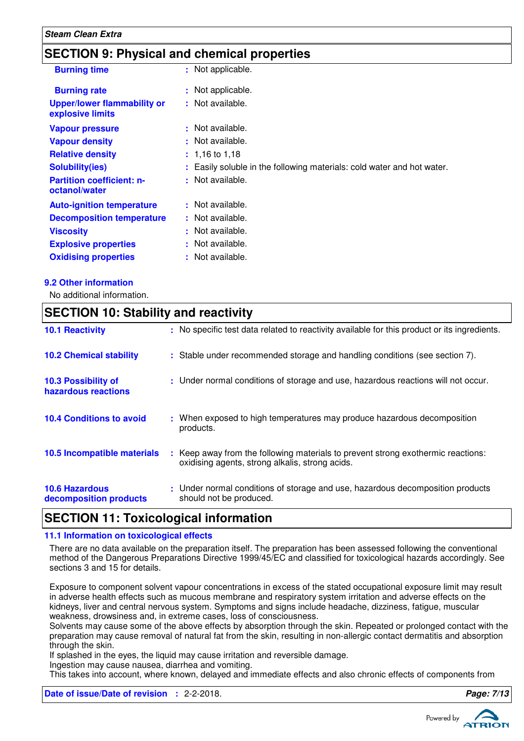### **SECTION 9: Physical and chemical properties**

| <b>Burning time</b>                                    | : Not applicable.                                                      |
|--------------------------------------------------------|------------------------------------------------------------------------|
| <b>Burning rate</b>                                    | : Not applicable.                                                      |
| <b>Upper/lower flammability or</b><br>explosive limits | : Not available.                                                       |
| <b>Vapour pressure</b>                                 | : Not available.                                                       |
| <b>Vapour density</b>                                  | : Not available.                                                       |
| <b>Relative density</b>                                | $: 1.16$ to 1.18                                                       |
| <b>Solubility(ies)</b>                                 | : Easily soluble in the following materials: cold water and hot water. |
| <b>Partition coefficient: n-</b><br>octanol/water      | : Not available.                                                       |
| <b>Auto-ignition temperature</b>                       | : Not available.                                                       |
| <b>Decomposition temperature</b>                       | : Not available.                                                       |
| <b>Viscosity</b>                                       | : Not available.                                                       |
| <b>Explosive properties</b>                            | : Not available.                                                       |
| <b>Oxidising properties</b>                            | : Not available.                                                       |

#### **9.2 Other information**

No additional information.

### **SECTION 10: Stability and reactivity**

| <b>10.1 Reactivity</b>                            | : No specific test data related to reactivity available for this product or its ingredients.                                        |
|---------------------------------------------------|-------------------------------------------------------------------------------------------------------------------------------------|
| <b>10.2 Chemical stability</b>                    | : Stable under recommended storage and handling conditions (see section 7).                                                         |
| <b>10.3 Possibility of</b><br>hazardous reactions | : Under normal conditions of storage and use, hazardous reactions will not occur.                                                   |
| <b>10.4 Conditions to avoid</b>                   | : When exposed to high temperatures may produce hazardous decomposition<br>products.                                                |
| 10.5 Incompatible materials                       | : Keep away from the following materials to prevent strong exothermic reactions:<br>oxidising agents, strong alkalis, strong acids. |
| <b>10.6 Hazardous</b><br>decomposition products   | : Under normal conditions of storage and use, hazardous decomposition products<br>should not be produced.                           |

### **SECTION 11: Toxicological information**

#### **11.1 Information on toxicological effects**

There are no data available on the preparation itself. The preparation has been assessed following the conventional method of the Dangerous Preparations Directive 1999/45/EC and classified for toxicological hazards accordingly. See sections 3 and 15 for details.

Exposure to component solvent vapour concentrations in excess of the stated occupational exposure limit may result in adverse health effects such as mucous membrane and respiratory system irritation and adverse effects on the kidneys, liver and central nervous system. Symptoms and signs include headache, dizziness, fatigue, muscular weakness, drowsiness and, in extreme cases, loss of consciousness.

Solvents may cause some of the above effects by absorption through the skin. Repeated or prolonged contact with the preparation may cause removal of natural fat from the skin, resulting in non-allergic contact dermatitis and absorption through the skin.

If splashed in the eyes, the liquid may cause irritation and reversible damage.

Ingestion may cause nausea, diarrhea and vomiting.

This takes into account, where known, delayed and immediate effects and also chronic effects of components from

**Date of issue/Date of revision :** 2-2-2018. **Page: 7/13**

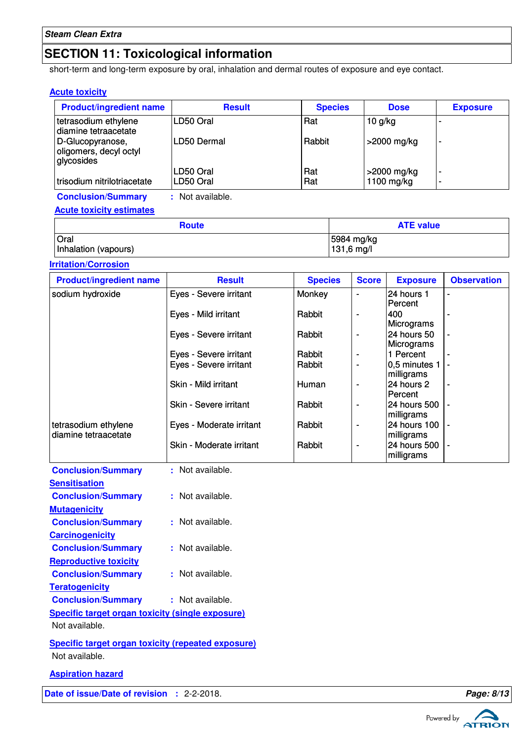### **SECTION 11: Toxicological information**

short-term and long-term exposure by oral, inhalation and dermal routes of exposure and eye contact.

#### **Acute toxicity**

| <b>Product/ingredient name</b>                           | <b>Result</b>  | <b>Species</b> | <b>Dose</b>    | <b>Exposure</b>          |
|----------------------------------------------------------|----------------|----------------|----------------|--------------------------|
| tetrasodium ethylene<br>diamine tetraacetate             | LD50 Oral      | Rat            | $10$ g/kg      | -                        |
| D-Glucopyranose,<br>oligomers, decyl octyl<br>glycosides | LD50 Dermal    | Rabbit         | >2000 mg/kg    | $\overline{\phantom{0}}$ |
|                                                          | LD50 Oral      | Rat            | $>$ 2000 mg/kg | $\overline{\phantom{a}}$ |
| trisodium nitrilotriacetate                              | LD50 Oral      | Rat            | 1100 mg/kg     | -                        |
| <b>Conclusion/Summary</b>                                | Not available. |                |                |                          |

**Acute toxicity estimates**

| <b>Route</b>         | <b>ATE value</b> |  |
|----------------------|------------------|--|
| Oral                 | 5984 mg/kg       |  |
| Inhalation (vapours) | 131,6 mg/l       |  |

**Irritation/Corrosion**

| <b>Product/ingredient name</b>               | <b>Result</b>                 | <b>Species</b> | <b>Score</b>             | <b>Exposure</b>                | <b>Observation</b>       |
|----------------------------------------------|-------------------------------|----------------|--------------------------|--------------------------------|--------------------------|
| sodium hydroxide                             | Eyes - Severe irritant        | Monkey         | $\blacksquare$           | 24 hours 1<br>Percent          |                          |
|                                              | Eyes - Mild irritant          | Rabbit         |                          | 400<br>Micrograms              |                          |
|                                              | Eyes - Severe irritant        | Rabbit         |                          | 24 hours 50<br>Micrograms      |                          |
|                                              | Eyes - Severe irritant        | Rabbit         | $\overline{\phantom{a}}$ | 1 Percent                      |                          |
|                                              | Eyes - Severe irritant        | Rabbit         |                          | $ 0,5$ minutes 1<br>milligrams |                          |
|                                              | Skin - Mild irritant          | Human          |                          | 24 hours 2<br>Percent          |                          |
|                                              | Skin - Severe irritant        | Rabbit         |                          | l24 hours 500<br> milligrams   | $\overline{\phantom{0}}$ |
| tetrasodium ethylene<br>diamine tetraacetate | Eyes - Moderate irritant      | Rabbit         |                          | 24 hours 100<br>milligrams     | $\overline{\phantom{0}}$ |
|                                              | Skin - Moderate irritant      | Rabbit         | $\overline{\phantom{0}}$ | 24 hours 500<br>milligrams     |                          |
| Conclusion/Summary                           | Not available<br>$\mathbf{r}$ |                |                          |                                |                          |

| <b>Conclusion/Summary</b>                        | : Not available. |
|--------------------------------------------------|------------------|
| <b>Sensitisation</b>                             |                  |
| <b>Conclusion/Summary</b>                        | : Not available. |
| <b>Mutagenicity</b>                              |                  |
| <b>Conclusion/Summary</b>                        | : Not available. |
| <b>Carcinogenicity</b>                           |                  |
| <b>Conclusion/Summary</b>                        | Not available.   |
| <b>Reproductive toxicity</b>                     |                  |
| <b>Conclusion/Summary</b>                        | : Not available. |
| <b>Teratogenicity</b>                            |                  |
| <b>Conclusion/Summary</b>                        | : Not available. |
| Specific target organ toxicity (single exposure) |                  |
| Not available.                                   |                  |
|                                                  |                  |

**Specific target organ toxicity (repeated exposure)** Not available.

**Aspiration hazard**

**Date of issue/Date of revision :** 2-2-2018. **Page: 8/13**



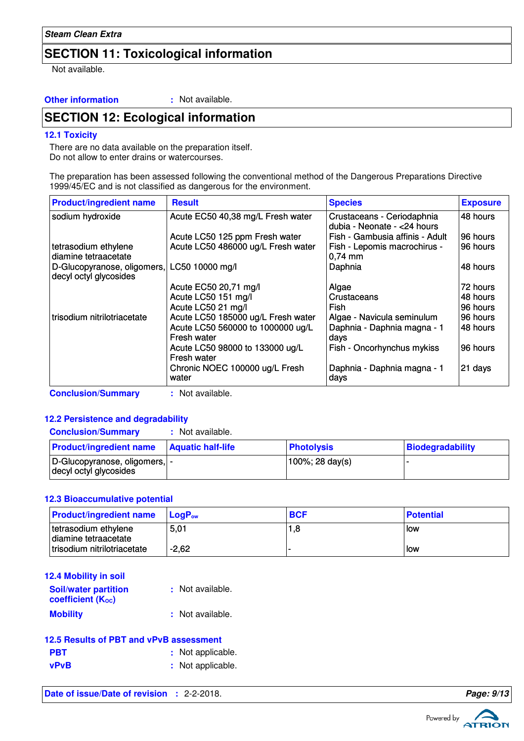### **SECTION 11: Toxicological information**

Not available.

#### **Other information :** : Not available.

### **SECTION 12: Ecological information**

#### **12.1 Toxicity**

There are no data available on the preparation itself. Do not allow to enter drains or watercourses.

The preparation has been assessed following the conventional method of the Dangerous Preparations Directive 1999/45/EC and is not classified as dangerous for the environment.

| <b>Product/ingredient name</b>                        | <b>Result</b>                                    | <b>Species</b>                                             | <b>Exposure</b> |
|-------------------------------------------------------|--------------------------------------------------|------------------------------------------------------------|-----------------|
| sodium hydroxide                                      | Acute EC50 40,38 mg/L Fresh water                | Crustaceans - Ceriodaphnia<br>dubia - Neonate - < 24 hours | 48 hours        |
|                                                       | Acute LC50 125 ppm Fresh water                   | Fish - Gambusia affinis - Adult                            | 96 hours        |
| tetrasodium ethylene<br>diamine tetraacetate          | Acute LC50 486000 ug/L Fresh water               | Fish - Lepomis macrochirus -<br>$0,74 \, \text{mm}$        | 96 hours        |
| D-Glucopyranose, oligomers,<br>decyl octyl glycosides | LC50 10000 mg/l                                  | Daphnia                                                    | 48 hours        |
|                                                       | Acute EC50 20,71 mg/l                            | Algae                                                      | 72 hours        |
|                                                       | Acute LC50 151 mg/l                              | Crustaceans                                                | 48 hours        |
|                                                       | Acute LC50 21 mg/l                               | Fish                                                       | 96 hours        |
| trisodium nitrilotriacetate                           | Acute LC50 185000 ug/L Fresh water               | Algae - Navicula seminulum                                 | 96 hours        |
|                                                       | Acute LC50 560000 to 1000000 ug/L<br>Fresh water | Daphnia - Daphnia magna - 1<br>days                        | 48 hours        |
|                                                       | Acute LC50 98000 to 133000 ug/L<br>Fresh water   | Fish - Oncorhynchus mykiss                                 | 96 hours        |
|                                                       | Chronic NOEC 100000 ug/L Fresh<br>water          | Daphnia - Daphnia magna - 1<br>days                        | 21 days         |
| <b>Conclusion/Summary</b>                             | : Not available.                                 |                                                            |                 |

#### **12.2 Persistence and degradability**

| <b>Conclusion/Summary</b>                                | Not available.           |                   |                  |
|----------------------------------------------------------|--------------------------|-------------------|------------------|
| <b>Product/ingredient name</b>                           | <b>Aquatic half-life</b> | <b>Photolysis</b> | Biodegradability |
| D-Glucopyranose, oligomers,  -<br>decyl octyl glycosides |                          | 100%; 28 day(s)   |                  |

#### **12.3 Bioaccumulative potential**

| <b>Product/ingredient name</b>               | $\mathsf{LocP}_\mathsf{ow}$ | <b>BCF</b> | <b>Potential</b> |
|----------------------------------------------|-----------------------------|------------|------------------|
| tetrasodium ethylene<br>diamine tetraacetate | 5,01                        | 1,8        | low              |
| trisodium nitrilotriacetate                  | $-2.62$                     |            | llow             |

| 12.4 Mobility in soil                            |                  |
|--------------------------------------------------|------------------|
| <b>Soil/water partition</b><br>coefficient (Koc) | : Not available. |
| <b>Mobility</b>                                  | : Not available. |

#### **12.5 Results of PBT and vPvB assessment**

| <b>PBT</b> | : Not applicable. |
|------------|-------------------|
| vPvB       | : Not applicable. |

**Date of issue/Date of revision :** 2-2-2018. **Page: 9/13 Page: 9/13** 



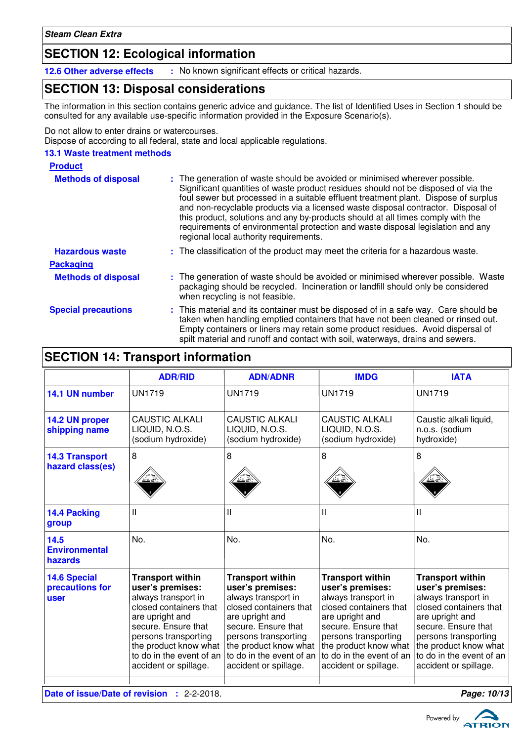### **SECTION 12: Ecological information**

**12.6 Other adverse effects :** No known significant effects or critical hazards.

### **SECTION 13: Disposal considerations**

The information in this section contains generic advice and guidance. The list of Identified Uses in Section 1 should be consulted for any available use-specific information provided in the Exposure Scenario(s).

Do not allow to enter drains or watercourses.

Dispose of according to all federal, state and local applicable regulations.

#### **13.1 Waste treatment methods**

| <b>Product</b>             |                                                                                                                                                                                                                                                                                                                                                                                                                                                                                                                                                               |
|----------------------------|---------------------------------------------------------------------------------------------------------------------------------------------------------------------------------------------------------------------------------------------------------------------------------------------------------------------------------------------------------------------------------------------------------------------------------------------------------------------------------------------------------------------------------------------------------------|
| <b>Methods of disposal</b> | : The generation of waste should be avoided or minimised wherever possible.<br>Significant quantities of waste product residues should not be disposed of via the<br>foul sewer but processed in a suitable effluent treatment plant. Dispose of surplus<br>and non-recyclable products via a licensed waste disposal contractor. Disposal of<br>this product, solutions and any by-products should at all times comply with the<br>requirements of environmental protection and waste disposal legislation and any<br>regional local authority requirements. |
| <b>Hazardous waste</b>     | : The classification of the product may meet the criteria for a hazardous waste.                                                                                                                                                                                                                                                                                                                                                                                                                                                                              |
| <b>Packaging</b>           |                                                                                                                                                                                                                                                                                                                                                                                                                                                                                                                                                               |
| <b>Methods of disposal</b> | : The generation of waste should be avoided or minimised wherever possible. Waste<br>packaging should be recycled. Incineration or landfill should only be considered<br>when recycling is not feasible.                                                                                                                                                                                                                                                                                                                                                      |
| <b>Special precautions</b> | : This material and its container must be disposed of in a safe way. Care should be<br>taken when handling emptied containers that have not been cleaned or rinsed out.<br>Empty containers or liners may retain some product residues. Avoid dispersal of<br>spilt material and runoff and contact with soil, waterways, drains and sewers.                                                                                                                                                                                                                  |

### **SECTION 14: Transport information**

|                                                                  | <b>ADR/RID</b>                                                                                                                                                                                                                               | <b>ADN/ADNR</b>                                                                                                                                                                                                                              | <b>IMDG</b>                                                                                                                                                                                                                                  | <b>IATA</b>                                                                                                                                                                                                                                  |
|------------------------------------------------------------------|----------------------------------------------------------------------------------------------------------------------------------------------------------------------------------------------------------------------------------------------|----------------------------------------------------------------------------------------------------------------------------------------------------------------------------------------------------------------------------------------------|----------------------------------------------------------------------------------------------------------------------------------------------------------------------------------------------------------------------------------------------|----------------------------------------------------------------------------------------------------------------------------------------------------------------------------------------------------------------------------------------------|
| 14.1 UN number                                                   | <b>UN1719</b>                                                                                                                                                                                                                                | <b>UN1719</b>                                                                                                                                                                                                                                | <b>UN1719</b>                                                                                                                                                                                                                                | <b>UN1719</b>                                                                                                                                                                                                                                |
| 14.2 UN proper<br>shipping name                                  | <b>CAUSTIC ALKALI</b><br>LIQUID, N.O.S.<br>(sodium hydroxide)                                                                                                                                                                                | <b>CAUSTIC ALKALI</b><br>LIQUID, N.O.S.<br>(sodium hydroxide)                                                                                                                                                                                | <b>CAUSTIC ALKALI</b><br>LIQUID, N.O.S.<br>(sodium hydroxide)                                                                                                                                                                                | Caustic alkali liquid,<br>n.o.s. (sodium<br>hydroxide)                                                                                                                                                                                       |
| <b>14.3 Transport</b><br>hazard class(es)                        | 8                                                                                                                                                                                                                                            | 8                                                                                                                                                                                                                                            | 8                                                                                                                                                                                                                                            | 8                                                                                                                                                                                                                                            |
| 14.4 Packing<br>group                                            | Ш                                                                                                                                                                                                                                            | Ш                                                                                                                                                                                                                                            | Ш                                                                                                                                                                                                                                            | Ш                                                                                                                                                                                                                                            |
| 14.5<br><b>Environmental</b><br>hazards                          | No.                                                                                                                                                                                                                                          | No.                                                                                                                                                                                                                                          | No.                                                                                                                                                                                                                                          | No.                                                                                                                                                                                                                                          |
| <b>14.6 Special</b><br>precautions for<br>user                   | <b>Transport within</b><br>user's premises:<br>always transport in<br>closed containers that<br>are upright and<br>secure. Ensure that<br>persons transporting<br>the product know what<br>to do in the event of an<br>accident or spillage. | <b>Transport within</b><br>user's premises:<br>always transport in<br>closed containers that<br>are upright and<br>secure. Ensure that<br>persons transporting<br>the product know what<br>to do in the event of an<br>accident or spillage. | <b>Transport within</b><br>user's premises:<br>always transport in<br>closed containers that<br>are upright and<br>secure. Ensure that<br>persons transporting<br>the product know what<br>to do in the event of an<br>accident or spillage. | <b>Transport within</b><br>user's premises:<br>always transport in<br>closed containers that<br>are upright and<br>secure. Ensure that<br>persons transporting<br>the product know what<br>to do in the event of an<br>accident or spillage. |
| <b>Date of issue/Date of revision : 2-2-2018.</b><br>Page: 10/13 |                                                                                                                                                                                                                                              |                                                                                                                                                                                                                                              |                                                                                                                                                                                                                                              |                                                                                                                                                                                                                                              |

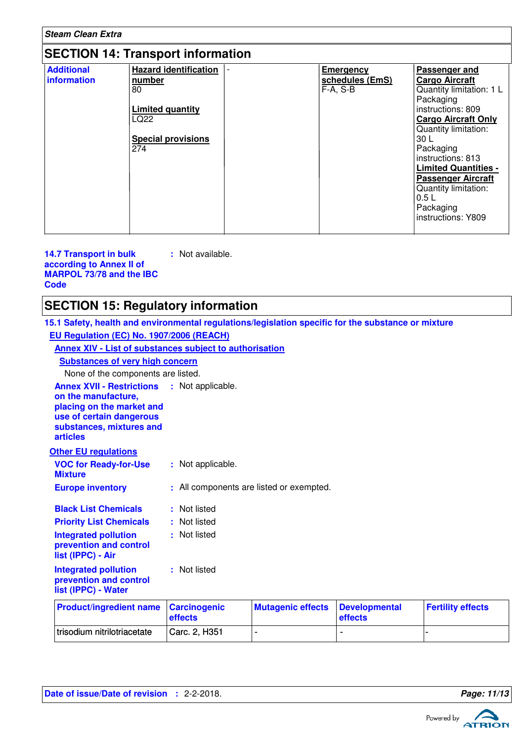| <b>Steam Clean Extra</b>                 |                                                                                                                     |  |                                                   |                                                                                                                                                                                                                                                                                                                                     |  |
|------------------------------------------|---------------------------------------------------------------------------------------------------------------------|--|---------------------------------------------------|-------------------------------------------------------------------------------------------------------------------------------------------------------------------------------------------------------------------------------------------------------------------------------------------------------------------------------------|--|
| <b>SECTION 14: Transport information</b> |                                                                                                                     |  |                                                   |                                                                                                                                                                                                                                                                                                                                     |  |
| <b>Additional</b><br>information         | <b>Hazard identification</b><br>number<br>80<br><b>Limited quantity</b><br>LQ22<br><b>Special provisions</b><br>274 |  | <b>Emergency</b><br>schedules (EmS)<br>$F-A, S-B$ | Passenger and<br><b>Cargo Aircraft</b><br>Quantity limitation: 1 L<br>Packaging<br>instructions: 809<br><b>Cargo Aircraft Only</b><br>Quantity limitation:<br>30 L<br>Packaging<br>instructions: 813<br><b>Limited Quantities -</b><br><b>Passenger Aircraft</b><br>Quantity limitation:<br>0.5L<br>Packaging<br>instructions: Y809 |  |

#### **14.7 Transport in bulk according to Annex II of MARPOL 73/78 and the IBC Code :** Not available.

## **SECTION 15: Regulatory information**

**15.1 Safety, health and environmental regulations/legislation specific for the substance or mixture EU Regulation (EC) No. 1907/2006 (REACH)**

**Annex XIV - List of substances subject to authorisation**

**Substances of very high concern**

None of the components are listed.

| <b>Product/ingredient name Carcinogenic</b> | effects       | <b>Mutagenic effects Developmental</b> | <b>effects</b> | <b>Fertility effects</b> |
|---------------------------------------------|---------------|----------------------------------------|----------------|--------------------------|
| trisodium nitrilotriacetate                 | Carc. 2, H351 |                                        |                |                          |

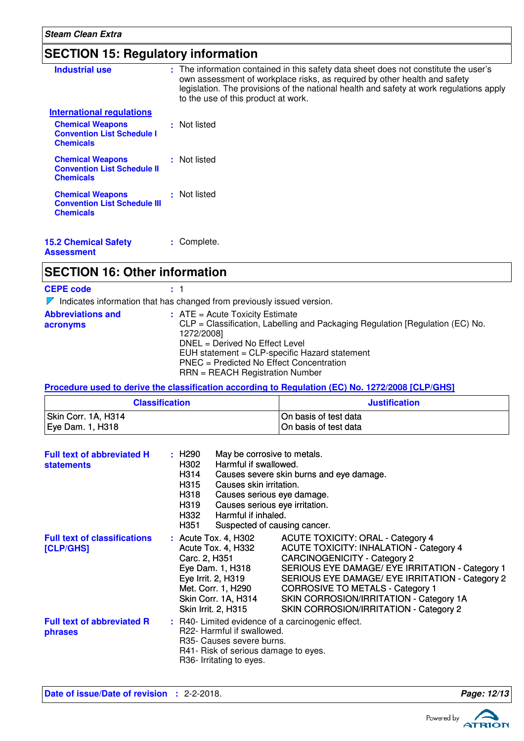# **SECTION 15: Regulatory information**

| <b>Industrial use</b>                                                              | : The information contained in this safety data sheet does not constitute the user's<br>own assessment of workplace risks, as required by other health and safety<br>legislation. The provisions of the national health and safety at work regulations apply<br>to the use of this product at work. |
|------------------------------------------------------------------------------------|-----------------------------------------------------------------------------------------------------------------------------------------------------------------------------------------------------------------------------------------------------------------------------------------------------|
| <b>International requlations</b>                                                   |                                                                                                                                                                                                                                                                                                     |
| <b>Chemical Weapons</b><br><b>Convention List Schedule I</b><br><b>Chemicals</b>   | : Not listed                                                                                                                                                                                                                                                                                        |
| <b>Chemical Weapons</b><br><b>Convention List Schedule II</b><br><b>Chemicals</b>  | : Not listed                                                                                                                                                                                                                                                                                        |
| <b>Chemical Weapons</b><br><b>Convention List Schedule III</b><br><b>Chemicals</b> | : Not listed                                                                                                                                                                                                                                                                                        |
| <b>15.2 Chemical Safety</b><br>A 1                                                 | : Complete.                                                                                                                                                                                                                                                                                         |

**Assessment**

### **SECTION 16: Other information**

| <b>CEPE code</b>                     | : 1                                                                                                                                                                                                                                                                                                  |
|--------------------------------------|------------------------------------------------------------------------------------------------------------------------------------------------------------------------------------------------------------------------------------------------------------------------------------------------------|
|                                      | Indicates information that has changed from previously issued version.                                                                                                                                                                                                                               |
| <b>Abbreviations and</b><br>acronyms | $:$ ATE = Acute Toxicity Estimate<br>CLP = Classification, Labelling and Packaging Regulation [Regulation (EC) No.<br>1272/2008]<br>DNEL = Derived No Effect Level<br>EUH statement = CLP-specific Hazard statement<br>PNEC = Predicted No Effect Concentration<br>$RRN = REACH$ Registration Number |

#### **Procedure used to derive the classification according to Regulation (EC) No. 1272/2008 [CLP/GHS]**

| <b>Classification</b> | <b>Justification</b>  |
|-----------------------|-----------------------|
| Skin Corr. 1A, H314   | On basis of test data |
| Eye Dam. 1, H318      | On basis of test data |

| <b>Full text of abbreviated H</b><br><b>statements</b> | : H290<br>May be corrosive to metals.<br>H302<br>Harmful if swallowed.<br>H314<br>H315<br>Causes skin irritation.<br>H318<br>H319<br>Causes serious eye irritation.<br>Harmful if inhaled.<br>H332<br>H351 | Causes severe skin burns and eye damage.<br>Causes serious eye damage.<br>Suspected of causing cancer.                                                                                                                                                                                                                                                                  |
|--------------------------------------------------------|------------------------------------------------------------------------------------------------------------------------------------------------------------------------------------------------------------|-------------------------------------------------------------------------------------------------------------------------------------------------------------------------------------------------------------------------------------------------------------------------------------------------------------------------------------------------------------------------|
| <b>Full text of classifications</b><br>[CLP/GHS]       | : Acute Tox. 4, H302<br>Acute Tox. 4, H332<br>Carc. 2, H351<br>Eye Dam. 1, H318<br>Eye Irrit. 2, H319<br>Met. Corr. 1, H290<br>Skin Corr. 1A, H314<br>Skin Irrit. 2, H315                                  | <b>ACUTE TOXICITY: ORAL - Category 4</b><br><b>ACUTE TOXICITY: INHALATION - Category 4</b><br><b>CARCINOGENICITY - Category 2</b><br>SERIOUS EYE DAMAGE/ EYE IRRITATION - Category 1<br>SERIOUS EYE DAMAGE/ EYE IRRITATION - Category 2<br><b>CORROSIVE TO METALS - Category 1</b><br>SKIN CORROSION/IRRITATION - Category 1A<br>SKIN CORROSION/IRRITATION - Category 2 |
| <b>Full text of abbreviated R</b><br>phrases           | : R40- Limited evidence of a carcinogenic effect.<br>R22- Harmful if swallowed.<br>R35- Causes severe burns.<br>R41- Risk of serious damage to eyes.<br>R36- Irritating to eyes.                           |                                                                                                                                                                                                                                                                                                                                                                         |